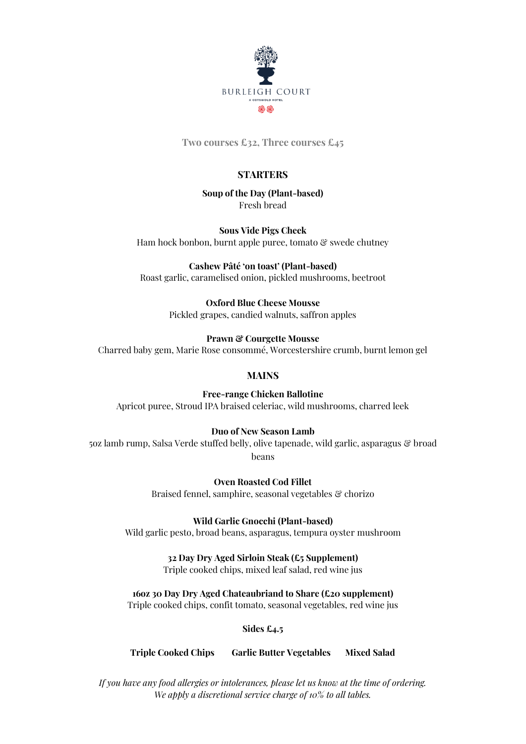

**Two courses £32, Three courses £45**

# **STARTERS**

**Soup of the Day (Plant-based)** Fresh bread

**Sous Vide Pigs Cheek** Ham hock bonbon, burnt apple puree, tomato & swede chutney

**Cashew Pâté 'on toast' (Plant-based)** Roast garlic, caramelised onion, pickled mushrooms, beetroot

> **Oxford Blue Cheese Mousse** Pickled grapes, candied walnuts, saffron apples

**Prawn & Courgette Mousse** Charred baby gem, Marie Rose consommé, Worcestershire crumb, burnt lemon gel

# **MAINS**

**Free-range Chicken Ballotine** Apricot puree, Stroud IPA braised celeriac, wild mushrooms, charred leek

## **Duo of New Season Lamb**

5oz lamb rump, Salsa Verde stuffed belly, olive tapenade, wild garlic, asparagus & broad beans

> **Oven Roasted Cod Fillet** Braised fennel, samphire, seasonal vegetables & chorizo

**Wild Garlic Gnocchi (Plant-based)** Wild garlic pesto, broad beans, asparagus, tempura oyster mushroom

**32 Day Dry Aged Sirloin Steak (£5 Supplement)**

Triple cooked chips, mixed leaf salad, red wine jus

**16oz 30 Day Dry Aged Chateaubriand to Share (£20 supplement)**

Triple cooked chips, confit tomato, seasonal vegetables, red wine jus

**Sides £4.5**

**Triple Cooked Chips Garlic Butter Vegetables Mixed Salad**

*If you have any food allergies or intolerances, please let us know at the time of ordering. We apply a discretional service charge of 10% to all tables.*